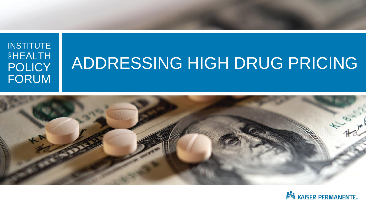#### INSTITUTE **EHEALTH POLICY** FORUM **FOR**

## ADDRESSING HIGH DRUG PRICING



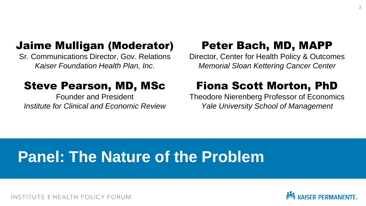#### Jaime Mulligan (Moderator)

Sr. Communications Director, Gov. Relations *Kaiser Foundation Health Plan, Inc.* 

#### Steve Pearson, MD, MSc

Founder and President *Institute for Clinical and Economic Review*

#### Peter Bach, MD, MAPP

Director, Center for Health Policy & Outcomes *Memorial Sloan Kettering Cancer Center*

#### Fiona Scott Morton, PhD

Theodore Nierenberg Professor of Economics *Yale University School of Management*

## **Panel: The Nature of the Problem**

TE & HEALTH POLICY FORUM

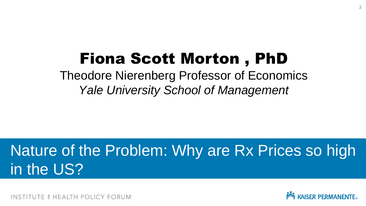## Fiona Scott Morton , PhD

Theodore Nierenberg Professor of Economics *Yale University School of Management*

## Nature of the Problem: Why are Rx Prices so high in the US?

*TE & HEALTH POLICY FORUM* 

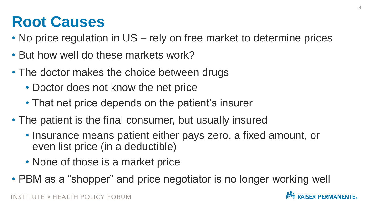## **Root Causes**

- No price regulation in US rely on free market to determine prices
- But how well do these markets work?
- The doctor makes the choice between drugs
	- Doctor does not know the net price
	- That net price depends on the patient's insurer
- The patient is the final consumer, but usually insured
	- Insurance means patient either pays zero, a fixed amount, or even list price (in a deductible)
	- None of those is a market price
- PBM as a "shopper" and price negotiator is no longer working well

**KAISER PERMANENTE**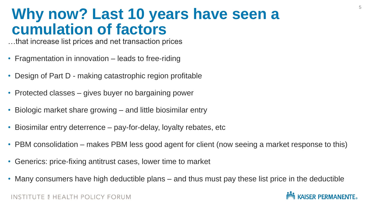### **Why now? Last 10 years have seen a cumulation of factors**

…that increase list prices and net transaction prices

- Fragmentation in innovation leads to free-riding
- Design of Part D making catastrophic region profitable
- Protected classes gives buyer no bargaining power
- Biologic market share growing and little biosimilar entry
- Biosimilar entry deterrence pay-for-delay, loyalty rebates, etc
- PBM consolidation makes PBM less good agent for client (now seeing a market response to this)
- Generics: price-fixing antitrust cases, lower time to market
- Many consumers have high deductible plans and thus must pay these list price in the deductible

#### **INSTITUTE & HEALTH POLICY FORUM**

**KAISER PERMANENTE.** 

5